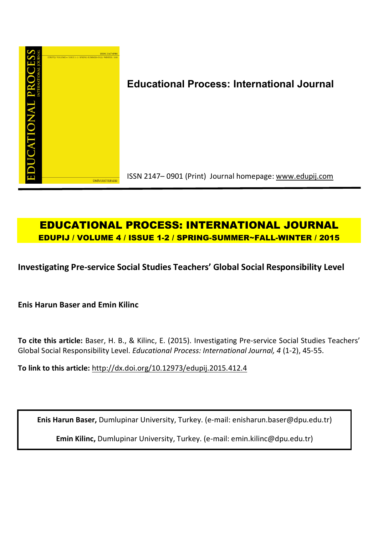

# **Educational Process: International Journal**

ISSN 2147– 0901 (Print) Journal homepage: www.edupij.com

# **EDUCATIONAL PROCESS: INTERNATIONAL JOURNAL EDUPIJ / VOLUME 4 / ISSUE 1-2 / SPRING-SUMMER~FALL-WINTER / 2015**

**Investigating Pre-service Social Studies Teachers' Global Social Responsibility Level**

**Enis Harun Baser and Emin Kilinc**

**To cite this article:** Baser, H. B., & Kilinc, E. (2015). Investigating Pre-service Social Studies Teachers' Global Social Responsibility Level. *Educational Process: International Journal, 4* (1-2), 45-55.

**To link to this article:** http://dx.doi.org/10.12973/edupij.2015.412.4

**Enis Harun Baser,** Dumlupinar University, Turkey. (e-mail: enisharun.baser@dpu.edu.tr)

**Emin Kilinc,** Dumlupinar University, Turkey. (e-mail: emin.kilinc@dpu.edu.tr)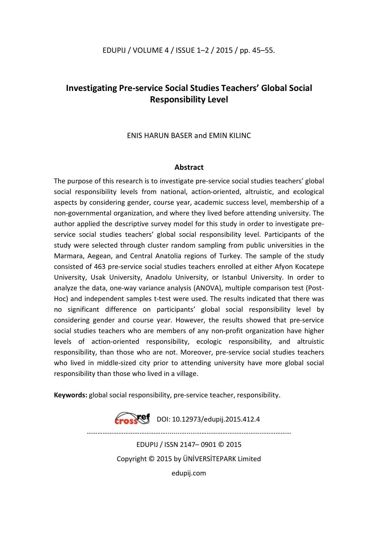## EDUPIJ / VOLUME 4 / ISSUE 1–2 / 2015 / pp. 45–55.

# **Investigating Pre-service Social Studies Teachers' Global Social Responsibility Level**

ENIS HARUN BASER and EMIN KILINC

## **Abstract**

The purpose of this research is to investigate pre-service social studies teachers' global social responsibility levels from national, action-oriented, altruistic, and ecological aspects by considering gender, course year, academic success level, membership of a non-governmental organization, and where they lived before attending university. The author applied the descriptive survey model for this study in order to investigate preservice social studies teachers' global social responsibility level. Participants of the study were selected through cluster random sampling from public universities in the Marmara, Aegean, and Central Anatolia regions of Turkey. The sample of the study consisted of 463 pre-service social studies teachers enrolled at either Afyon Kocatepe University, Usak University, Anadolu University, or Istanbul University. In order to analyze the data, one-way variance analysis (ANOVA), multiple comparison test (Post-Hoc) and independent samples t-test were used. The results indicated that there was no significant difference on participants' global social responsibility level by considering gender and course year. However, the results showed that pre-service social studies teachers who are members of any non-profit organization have higher levels of action-oriented responsibility, ecologic responsibility, and altruistic responsibility, than those who are not. Moreover, pre-service social studies teachers who lived in middle-sized city prior to attending university have more global social responsibility than those who lived in a village.

**Keywords:** global social responsibility, pre-service teacher, responsibility.

**Erosset** DOI: 10.12973/edupij.2015.412.4

………………………………………........….....………………………………...……………

EDUPIJ / ISSN 2147– 0901 © 2015 Copyright © 2015 by ÜNİVERSİTEPARK Limited edupij.com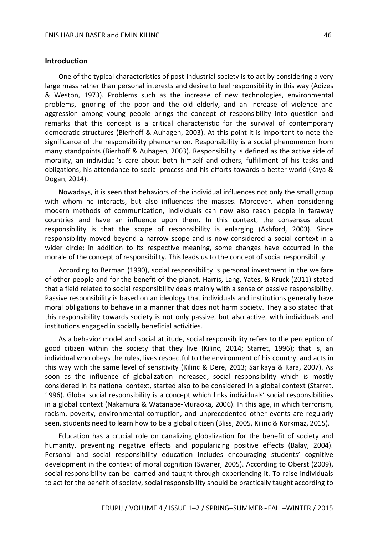#### **Introduction**

One of the typical characteristics of post-industrial society is to act by considering a very large mass rather than personal interests and desire to feel responsibility in this way (Adizes & Weston, 1973). Problems such as the increase of new technologies, environmental problems, ignoring of the poor and the old elderly, and an increase of violence and aggression among young people brings the concept of responsibility into question and remarks that this concept is a critical characteristic for the survival of contemporary democratic structures (Bierhoff & Auhagen, 2003). At this point it is important to note the significance of the responsibility phenomenon. Responsibility is a social phenomenon from many standpoints (Bierhoff & Auhagen, 2003). Responsibility is defined as the active side of morality, an individual's care about both himself and others, fulfillment of his tasks and obligations, his attendance to social process and his efforts towards a better world (Kaya & Dogan, 2014).

Nowadays, it is seen that behaviors of the individual influences not only the small group with whom he interacts, but also influences the masses. Moreover, when considering modern methods of communication, individuals can now also reach people in faraway countries and have an influence upon them. In this context, the consensus about responsibility is that the scope of responsibility is enlarging (Ashford, 2003). Since responsibility moved beyond a narrow scope and is now considered a social context in a wider circle; in addition to its respective meaning, some changes have occurred in the morale of the concept of responsibility. This leads us to the concept of social responsibility.

According to Berman (1990), social responsibility is personal investment in the welfare of other people and for the benefit of the planet. Harris, Lang, Yates, & Kruck (2011) stated that a field related to social responsibility deals mainly with a sense of passive responsibility. Passive responsibility is based on an ideology that individuals and institutions generally have moral obligations to behave in a manner that does not harm society. They also stated that this responsibility towards society is not only passive, but also active, with individuals and institutions engaged in socially beneficial activities.

As a behavior model and social attitude, social responsibility refers to the perception of good citizen within the society that they live (Kilinc, 2014; Starret, 1996); that is, an individual who obeys the rules, lives respectful to the environment of his country, and acts in this way with the same level of sensitivity (Kilinc & Dere, 2013; Sarikaya & Kara, 2007). As soon as the influence of globalization increased, social responsibility which is mostly considered in its national context, started also to be considered in a global context (Starret, 1996). Global social responsibility is a concept which links individuals' social responsibilities in a global context (Nakamura & Watanabe-Muraoka, 2006). In this age, in which terrorism, racism, poverty, environmental corruption, and unprecedented other events are regularly seen, students need to learn how to be a global citizen (Bliss, 2005, Kilinc & Korkmaz, 2015).

Education has a crucial role on canalizing globalization for the benefit of society and humanity, preventing negative effects and popularizing positive effects (Balay, 2004). Personal and social responsibility education includes encouraging students' cognitive development in the context of moral cognition (Swaner, 2005). According to Oberst (2009), social responsibility can be learned and taught through experiencing it. To raise individuals to act for the benefit of society, social responsibility should be practically taught according to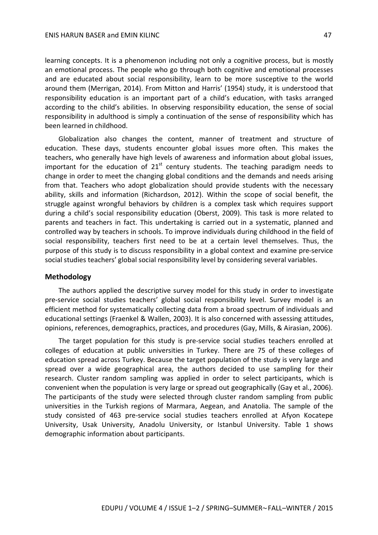learning concepts. It is a phenomenon including not only a cognitive process, but is mostly an emotional process. The people who go through both cognitive and emotional processes and are educated about social responsibility, learn to be more susceptive to the world around them (Merrigan, 2014). From Mitton and Harris' (1954) study, it is understood that responsibility education is an important part of a child's education, with tasks arranged according to the child's abilities. In observing responsibility education, the sense of social responsibility in adulthood is simply a continuation of the sense of responsibility which has been learned in childhood.

Globalization also changes the content, manner of treatment and structure of education. These days, students encounter global issues more often. This makes the teachers, who generally have high levels of awareness and information about global issues, important for the education of  $21<sup>st</sup>$  century students. The teaching paradigm needs to change in order to meet the changing global conditions and the demands and needs arising from that. Teachers who adopt globalization should provide students with the necessary ability, skills and information (Richardson, 2012). Within the scope of social benefit, the struggle against wrongful behaviors by children is a complex task which requires support during a child's social responsibility education (Oberst, 2009). This task is more related to parents and teachers in fact. This undertaking is carried out in a systematic, planned and controlled way by teachers in schools. To improve individuals during childhood in the field of social responsibility, teachers first need to be at a certain level themselves. Thus, the purpose of this study is to discuss responsibility in a global context and examine pre-service social studies teachers' global social responsibility level by considering several variables.

#### **Methodology**

The authors applied the descriptive survey model for this study in order to investigate pre-service social studies teachers' global social responsibility level. Survey model is an efficient method for systematically collecting data from a broad spectrum of individuals and educational settings (Fraenkel & Wallen, 2003). It is also concerned with assessing attitudes, opinions, references, demographics, practices, and procedures (Gay, Mills, & Airasian, 2006).

The target population for this study is pre-service social studies teachers enrolled at colleges of education at public universities in Turkey. There are 75 of these colleges of education spread across Turkey. Because the target population of the study is very large and spread over a wide geographical area, the authors decided to use sampling for their research. Cluster random sampling was applied in order to select participants, which is convenient when the population is very large or spread out geographically (Gay et al., 2006). The participants of the study were selected through cluster random sampling from public universities in the Turkish regions of Marmara, Aegean, and Anatolia. The sample of the study consisted of 463 pre-service social studies teachers enrolled at Afyon Kocatepe University, Usak University, Anadolu University, or Istanbul University. Table 1 shows demographic information about participants.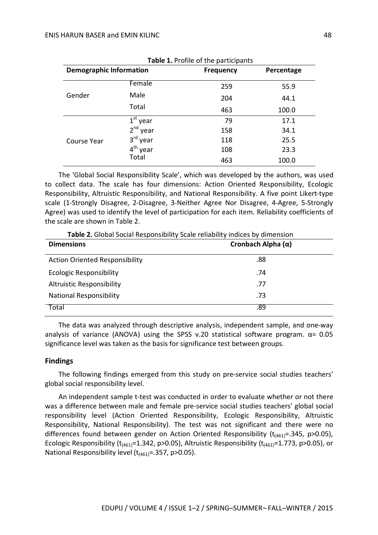| Table 1. Profile of the participants |                      |                  |            |  |  |  |  |  |
|--------------------------------------|----------------------|------------------|------------|--|--|--|--|--|
| <b>Demographic Information</b>       |                      | <b>Frequency</b> | Percentage |  |  |  |  |  |
|                                      | Female               | 259              | 55.9       |  |  |  |  |  |
| Gender                               | Male                 | 204              | 44.1       |  |  |  |  |  |
|                                      | Total                | 463              | 100.0      |  |  |  |  |  |
| Course Year                          | $1st$ year           | 79               | 17.1       |  |  |  |  |  |
|                                      | $2^{nd}$ year        | 158              | 34.1       |  |  |  |  |  |
|                                      | 3 <sup>rd</sup> year | 118              | 25.5       |  |  |  |  |  |
|                                      | 4 <sup>th</sup> year | 108              | 23.3       |  |  |  |  |  |
|                                      | Total                | 463              | 100.0      |  |  |  |  |  |

The 'Global Social Responsibility Scale', which was developed by the authors, was used to collect data. The scale has four dimensions: Action Oriented Responsibility, Ecologic Responsibility, Altruistic Responsibility, and National Responsibility. A five point Likert-type scale (1-Strongly Disagree, 2-Disagree, 3-Neither Agree Nor Disagree, 4-Agree, 5-Strongly Agree) was used to identify the level of participation for each item. Reliability coefficients of the scale are shown in Table 2.

**Table 2.** Global Social Responsibility Scale reliability indices by dimension

| <b>Dimensions</b>                     | Cronbach Alpha $(\alpha)$ |
|---------------------------------------|---------------------------|
| <b>Action Oriented Responsibility</b> | .88                       |
| <b>Ecologic Responsibility</b>        | .74                       |
| <b>Altruistic Responsibility</b>      | .77                       |
| <b>National Responsibility</b>        | .73                       |
| Total                                 | .89                       |

The data was analyzed through descriptive analysis, independent sample, and one-way analysis of variance (ANOVA) using the SPSS v.20 statistical software program.  $\alpha$ = 0.05 significance level was taken as the basis for significance test between groups.

#### **Findings**

The following findings emerged from this study on pre-service social studies teachers' global social responsibility level.

An independent sample t-test was conducted in order to evaluate whether or not there was a difference between male and female pre-service social studies teachers' global social responsibility level (Action Oriented Responsibility, Ecologic Responsibility, Altruistic Responsibility, National Responsibility). The test was not significant and there were no differences found between gender on Action Oriented Responsibility ( $t_{(461)}$ =.345, p>0.05), Ecologic Responsibility ( $t_{(461)}$ =1.342, p>0.05), Altruistic Responsibility ( $t_{(461)}$ =1.773, p>0.05), or National Responsibility level  $(t<sub>(461)</sub>=.357, p>0.05)$ .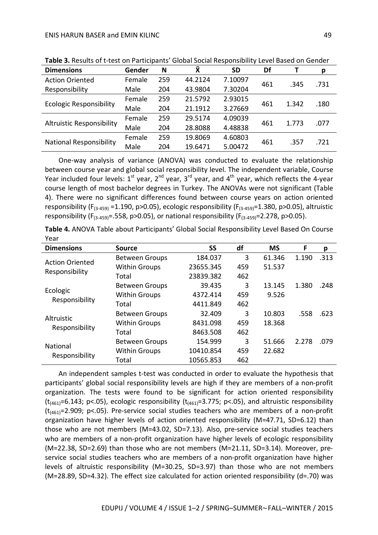| <b>Dimensions</b>                | Gender | N   | <b>X</b> | <b>SD</b>               | Df   |       | р    |
|----------------------------------|--------|-----|----------|-------------------------|------|-------|------|
| <b>Action Oriented</b>           | Female | 259 | 44.2124  | 7.10097                 | 461  | .345  | .731 |
| Responsibility                   | Male   | 204 | 43.9804  | 7.30204                 |      |       |      |
|                                  | Female | 259 | 21.5792  | 2.93015                 |      |       |      |
| <b>Ecologic Responsibility</b>   | Male   | 204 | 21.1912  | 461<br>1.342<br>3.27669 | .180 |       |      |
|                                  | Female | 259 | 29.5174  | 4.09039                 |      |       |      |
| <b>Altruistic Responsibility</b> | Male   | 204 | 28.8088  | 4.48838                 | 461  | 1.773 | .077 |
|                                  | Female | 259 | 19.8069  | 4.60803                 |      |       | .721 |
| <b>National Responsibility</b>   | Male   | 204 | 19.6471  | 5.00472                 | 461  | .357  |      |

**Table 3.** Results of t-test on Participants' Global Social Responsibility Level Based on Gender

One-way analysis of variance (ANOVA) was conducted to evaluate the relationship between course year and global social responsibility level. The independent variable, Course Year included four levels:  $1^{st}$  year,  $2^{nd}$  year,  $3^{rd}$  year, and  $4^{th}$  year, which reflects the 4-year course length of most bachelor degrees in Turkey. The ANOVAs were not significant (Table 4). There were no significant differences found between course years on action oriented responsibility ( $F_{(3-459)} = 1.190$ , p>0.05), ecologic responsibility ( $F_{(3-459)} = 1.380$ , p>0.05), altruistic responsibility (F<sub>(3-459)</sub>=.558, p>0.05), or national responsibility (F<sub>(3-459)</sub>=2.278, p>0.05).

|      | Table 4. ANOVA Table about Participants' Global Social Responsibility Level Based On Course |  |  |
|------|---------------------------------------------------------------------------------------------|--|--|
| Year |                                                                                             |  |  |

| <b>Dimensions</b>          | Source                | SS        | df  | <b>MS</b> | F     | р    |
|----------------------------|-----------------------|-----------|-----|-----------|-------|------|
| <b>Action Oriented</b>     | <b>Between Groups</b> | 184.037   | 3   | 61.346    | 1.190 | .313 |
|                            | <b>Within Groups</b>  | 23655.345 | 459 | 51.537    |       |      |
| Responsibility             | Total                 | 23839.382 | 462 |           |       |      |
|                            | <b>Between Groups</b> | 39.435    | 3   | 13.145    | 1.380 | .248 |
| Ecologic<br>Responsibility | <b>Within Groups</b>  | 4372.414  | 459 | 9.526     |       |      |
|                            | Total                 | 4411.849  | 462 |           |       |      |
|                            | <b>Between Groups</b> | 32.409    | 3   | 10.803    | .558  | .623 |
| Altruistic                 | <b>Within Groups</b>  | 8431.098  | 459 | 18.368    |       |      |
| Responsibility             | Total                 | 8463.508  | 462 |           |       |      |
| <b>National</b>            | <b>Between Groups</b> | 154.999   | 3   | 51.666    | 2.278 | .079 |
|                            | <b>Within Groups</b>  | 10410.854 | 459 | 22.682    |       |      |
| Responsibility             | Total                 | 10565.853 | 462 |           |       |      |

An independent samples t-test was conducted in order to evaluate the hypothesis that participants' global social responsibility levels are high if they are members of a non-profit organization. The tests were found to be significant for action oriented responsibility ( $t_{(461)}$ =6.143; p<.05), ecologic responsibility ( $t_{(461)}$ =3.775; p<.05), and altruistic responsibility  $(t<sub>(461)</sub>=2.909; p<.05)$ . Pre-service social studies teachers who are members of a non-profit organization have higher levels of action oriented responsibility (M=47.71, SD=6.12) than those who are not members (M=43.02, SD=7.13). Also, pre-service social studies teachers who are members of a non-profit organization have higher levels of ecologic responsibility (M=22.38, SD=2.69) than those who are not members (M=21.11, SD=3.14). Moreover, preservice social studies teachers who are members of a non-profit organization have higher levels of altruistic responsibility (M=30.25, SD=3.97) than those who are not members (M=28.89, SD=4.32). The effect size calculated for action oriented responsibility (d=.70) was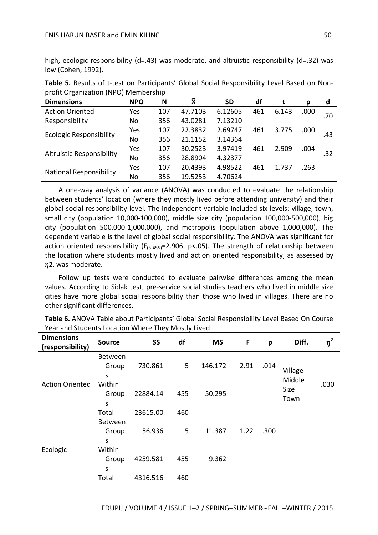#### ENIS HARUN BASER and EMIN KILINC 50

high, ecologic responsibility (d=.43) was moderate, and altruistic responsibility (d=.32) was low (Cohen, 1992).

| <b>Dimensions</b>                | <b>NPO</b> | N   | Χ       | <b>SD</b> | df  |       | р    | d   |
|----------------------------------|------------|-----|---------|-----------|-----|-------|------|-----|
| <b>Action Oriented</b>           | Yes        | 107 | 47.7103 | 6.12605   | 461 | 6.143 | .000 | .70 |
| Responsibility                   | No         | 356 | 43.0281 | 7.13210   |     |       |      |     |
| <b>Ecologic Responsibility</b>   | Yes        | 107 | 22.3832 | 2.69747   | 461 | 3.775 | .000 | .43 |
|                                  | No         | 356 | 21.1152 | 3.14364   |     |       |      |     |
| <b>Altruistic Responsibility</b> | Yes        | 107 | 30.2523 | 3.97419   | 461 | 2.909 | .004 | .32 |
|                                  | No         | 356 | 28.8904 | 4.32377   |     |       |      |     |
| <b>National Responsibility</b>   | Yes        | 107 | 20.4393 | 4.98522   | 461 | 1.737 | .263 |     |
|                                  | No         | 356 | 19.5253 | 4.70624   |     |       |      |     |

**Table 5.** Results of t-test on Participants' Global Social Responsibility Level Based on Nonprofit Organization (NPO) Membership

A one-way analysis of variance (ANOVA) was conducted to evaluate the relationship between students' location (where they mostly lived before attending university) and their global social responsibility level. The independent variable included six levels: village, town, small city (population 10,000-100,000), middle size city (population 100,000-500,000), big city (population 500,000-1,000,000), and metropolis (population above 1,000,000). The dependent variable is the level of global social responsibility. The ANOVA was significant for action oriented responsibility ( $F_{(5-455)}=2.906$ ,  $p<.05$ ). The strength of relationship between the location where students mostly lived and action oriented responsibility, as assessed by  $\eta$ 2, was moderate.

Follow up tests were conducted to evaluate pairwise differences among the mean values. According to Sidak test, pre-service social studies teachers who lived in middle size cities have more global social responsibility than those who lived in villages. There are no other significant differences.

| <b>Dimensions</b><br>(responsibility) | <b>Source</b>         | <b>SS</b>                 | df             | <b>MS</b> | F                   | p    | Diff.              | $\eta^2$ |
|---------------------------------------|-----------------------|---------------------------|----------------|-----------|---------------------|------|--------------------|----------|
| <b>Action Oriented</b>                | Between<br>Group<br>S | 730.861                   | 5 <sup>1</sup> | 146.172   | 2.91                | .014 | Village-<br>Middle |          |
|                                       | Within<br>Group<br>S  | 50.295<br>22884.14<br>455 |                |           | <b>Size</b><br>Town | .030 |                    |          |
|                                       | Total                 | 23615.00                  | 460            |           |                     |      |                    |          |
|                                       | Between               |                           |                |           |                     |      |                    |          |
|                                       | Group                 | 56.936                    | 5              | 11.387    | 1.22                | .300 |                    |          |
|                                       | S                     |                           |                |           |                     |      |                    |          |
| Ecologic                              | Within                |                           |                |           |                     |      |                    |          |
|                                       | Group                 | 4259.581                  | 455            | 9.362     |                     |      |                    |          |
|                                       | S                     |                           |                |           |                     |      |                    |          |
|                                       | Total                 | 4316.516                  | 460            |           |                     |      |                    |          |

**Table 6.** ANOVA Table about Participants' Global Social Responsibility Level Based On Course Year and Students Location Where They Mostly Lived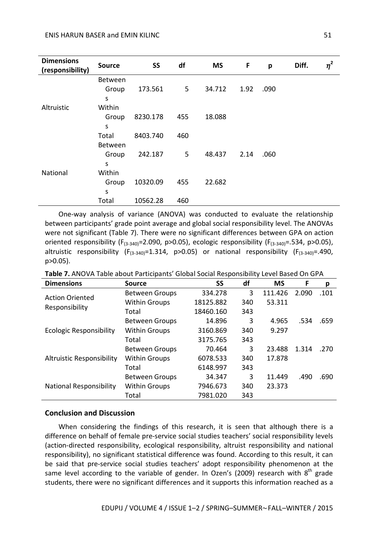| <b>Dimensions</b><br>(responsibility) | <b>Source</b>  | <b>SS</b> | df             | <b>MS</b> | F    | p    | Diff. | $\eta^2$ |
|---------------------------------------|----------------|-----------|----------------|-----------|------|------|-------|----------|
|                                       | Between        |           |                |           |      |      |       |          |
|                                       | Group          | 173.561   | 5              | 34.712    | 1.92 | .090 |       |          |
|                                       | S              |           |                |           |      |      |       |          |
| Altruistic                            | Within         |           |                |           |      |      |       |          |
|                                       | Group          | 8230.178  | 455            | 18.088    |      |      |       |          |
|                                       | S              |           |                |           |      |      |       |          |
|                                       | Total          | 8403.740  | 460            |           |      |      |       |          |
|                                       | <b>Between</b> |           |                |           |      |      |       |          |
|                                       | Group          | 242.187   | 5 <sup>1</sup> | 48.437    | 2.14 | .060 |       |          |
|                                       | S              |           |                |           |      |      |       |          |
| National                              | Within         |           |                |           |      |      |       |          |
|                                       | Group          | 10320.09  | 455            | 22.682    |      |      |       |          |
|                                       | S              |           |                |           |      |      |       |          |
|                                       | Total          | 10562.28  | 460            |           |      |      |       |          |

One-way analysis of variance (ANOVA) was conducted to evaluate the relationship between participants' grade point average and global social responsibility level. The ANOVAs were not significant (Table 7). There were no significant differences between GPA on action oriented responsibility (F<sub>(3-340)</sub>=2.090, p>0.05), ecologic responsibility (F<sub>(3-340)</sub>=.534, p>0.05), altruistic responsibility  $(F_{(3-340)}=1.314, p>0.05)$  or national responsibility  $(F_{(3-340)}=.490,$ p>0.05).

| <b>Dimensions</b>                | <b>Source</b>         | <b>SS</b> | df  | <b>MS</b> | F     | р    |
|----------------------------------|-----------------------|-----------|-----|-----------|-------|------|
| <b>Action Oriented</b>           | <b>Between Groups</b> | 334.278   | 3   | 111.426   | 2.090 | .101 |
|                                  | <b>Within Groups</b>  | 18125.882 | 340 | 53.311    |       |      |
| Responsibility                   | Total                 | 18460.160 | 343 |           |       |      |
|                                  | <b>Between Groups</b> | 14.896    | 3   | 4.965     | .534  | .659 |
| <b>Ecologic Responsibility</b>   | <b>Within Groups</b>  | 3160.869  | 340 | 9.297     |       |      |
|                                  | Total                 | 3175.765  | 343 |           |       |      |
|                                  | <b>Between Groups</b> | 70.464    | 3   | 23.488    | 1.314 | .270 |
| <b>Altruistic Responsibility</b> | <b>Within Groups</b>  | 6078.533  | 340 | 17.878    |       |      |
|                                  | Total                 | 6148.997  | 343 |           |       |      |
|                                  | <b>Between Groups</b> | 34.347    | 3   | 11.449    | .490  | .690 |
| <b>National Responsibility</b>   | <b>Within Groups</b>  | 7946.673  | 340 | 23.373    |       |      |
|                                  | Total                 | 7981.020  | 343 |           |       |      |

**Table 7.** ANOVA Table about Participants' Global Social Responsibility Level Based On GPA

#### **Conclusion and Discussion**

When considering the findings of this research, it is seen that although there is a difference on behalf of female pre-service social studies teachers' social responsibility levels (action-directed responsibility, ecological responsibility, altruist responsibility and national responsibility), no significant statistical difference was found. According to this result, it can be said that pre-service social studies teachers' adopt responsibility phenomenon at the same level according to the variable of gender. In Ozen's (2009) research with  $8<sup>th</sup>$  grade students, there were no significant differences and it supports this information reached as a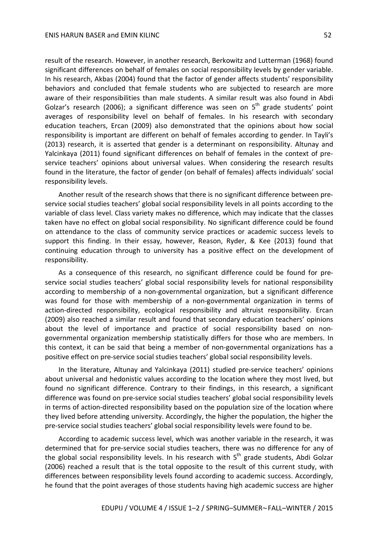result of the research. However, in another research, Berkowitz and Lutterman (1968) found significant differences on behalf of females on social responsibility levels by gender variable. In his research, Akbas (2004) found that the factor of gender affects students' responsibility behaviors and concluded that female students who are subjected to research are more aware of their responsibilities than male students. A similar result was also found in Abdi Golzar's research (2006); a significant difference was seen on 5<sup>th</sup> grade students' point averages of responsibility level on behalf of females. In his research with secondary education teachers, Ercan (2009) also demonstrated that the opinions about how social responsibility is important are different on behalf of females according to gender. In Tayli's (2013) research, it is asserted that gender is a determinant on responsibility. Altunay and Yalcinkaya (2011) found significant differences on behalf of females in the context of preservice teachers' opinions about universal values. When considering the research results found in the literature, the factor of gender (on behalf of females) affects individuals' social responsibility levels.

Another result of the research shows that there is no significant difference between preservice social studies teachers' global social responsibility levels in all points according to the variable of class level. Class variety makes no difference, which may indicate that the classes taken have no effect on global social responsibility. No significant difference could be found on attendance to the class of community service practices or academic success levels to support this finding. In their essay, however, Reason, Ryder, & Kee (2013) found that continuing education through to university has a positive effect on the development of responsibility.

As a consequence of this research, no significant difference could be found for preservice social studies teachers' global social responsibility levels for national responsibility according to membership of a non-governmental organization, but a significant difference was found for those with membership of a non-governmental organization in terms of action-directed responsibility, ecological responsibility and altruist responsibility. Ercan (2009) also reached a similar result and found that secondary education teachers' opinions about the level of importance and practice of social responsibility based on nongovernmental organization membership statistically differs for those who are members. In this context, it can be said that being a member of non-governmental organizations has a positive effect on pre-service social studies teachers' global social responsibility levels.

In the literature, Altunay and Yalcinkaya (2011) studied pre-service teachers' opinions about universal and hedonistic values according to the location where they most lived, but found no significant difference. Contrary to their findings, in this research, a significant difference was found on pre-service social studies teachers' global social responsibility levels in terms of action-directed responsibility based on the population size of the location where they lived before attending university. Accordingly, the higher the population, the higher the pre-service social studies teachers' global social responsibility levels were found to be.

According to academic success level, which was another variable in the research, it was determined that for pre-service social studies teachers, there was no difference for any of the global social responsibility levels. In his research with  $5<sup>th</sup>$  grade students, Abdi Golzar (2006) reached a result that is the total opposite to the result of this current study, with differences between responsibility levels found according to academic success. Accordingly, he found that the point averages of those students having high academic success are higher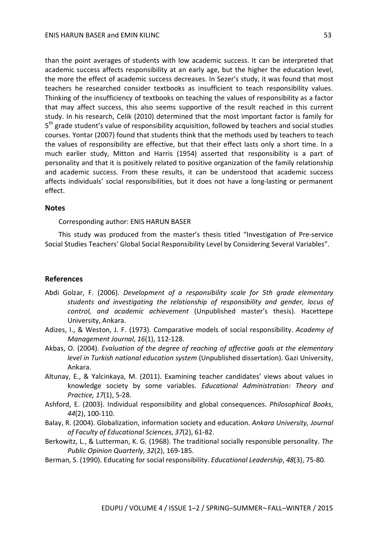than the point averages of students with low academic success. It can be interpreted that academic success affects responsibility at an early age, but the higher the education level, the more the effect of academic success decreases. In Sezer's study, it was found that most teachers he researched consider textbooks as insufficient to teach responsibility values. Thinking of the insufficiency of textbooks on teaching the values of responsibility as a factor that may affect success, this also seems supportive of the result reached in this current study. In his research, Celik (2010) determined that the most important factor is family for 5<sup>th</sup> grade student's value of responsibility acquisition, followed by teachers and social studies courses. Yontar (2007) found that students think that the methods used by teachers to teach the values of responsibility are effective, but that their effect lasts only a short time. In a much earlier study, Mitton and Harris (1954) asserted that responsibility is a part of personality and that it is positively related to positive organization of the family relationship and academic success. From these results, it can be understood that academic success affects individuals' social responsibilities, but it does not have a long-lasting or permanent effect.

#### **Notes**

Corresponding author: ENIS HARUN BASER

This study was produced from the master's thesis titled "Investigation of Pre-service Social Studies Teachers' Global Social Responsibility Level by Considering Several Variables".

### **References**

- Abdi Golzar, F. (2006). *Development of a responsibility scale for 5th grade elementary students and investigating the relationship of responsibility and gender, locus of control, and academic achievement* (Unpublished master's thesis). Hacettepe University, Ankara.
- Adizes, I., & Weston, J. F. (1973). Comparative models of social responsibility. *Academy of Management Journal*, *16*(1), 112-128.
- Akbas, O. (2004). *Evaluation of the degree of reaching of affective goals at the elementary level in Turkish national education system* (Unpublished dissertation). Gazi University, Ankara.
- Altunay, E., & Yalcinkaya, M. (2011). Examining teacher candidates' views about values in knowledge society by some variables. *Educational Administration: Theory and Practice, 17*(1), 5-28.
- Ashford, E. (2003). Individual responsibility and global consequences. *Philosophical Books*, *44*(2), 100-110.
- Balay, R. (2004). Globalization, information society and education. *Ankara University, Journal of Faculty of Educational Sciences*, *37*(2), 61-82.
- Berkowitz, L., & Lutterman, K. G. (1968). The traditional socially responsible personality. *The Public Opinion Quarterly*, *32*(2), 169-185.
- Berman, S. (1990). Educating for social responsibility. *Educational Leadership*, *48*(3), 75-80.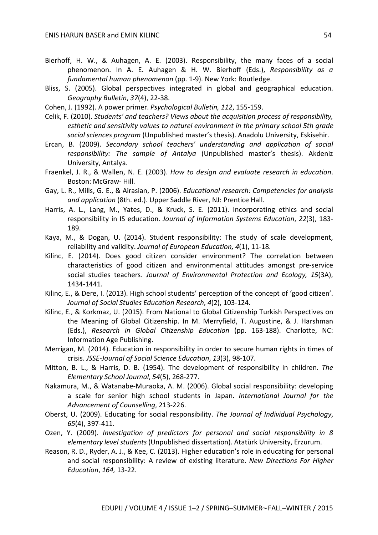- Bierhoff, H. W., & Auhagen, A. E. (2003). Responsibility, the many faces of a social phenomenon. In A. E. Auhagen & H. W. Bierhoff (Eds.), *Responsibility as a fundamental human phenomenon* (pp. 1-9). New York: Routledge.
- Bliss, S. (2005). Global perspectives integrated in global and geographical education. *Geography Bulletin*, *37*(4), 22-38.
- Cohen, J. (1992). A power primer. *Psychological Bulletin, 112*, 155-159.
- Celik, F. (2010). *Students' and teachers? Views about the acquisition process of responsibility, esthetic and sensitivity values to naturel environment in the primary school 5th grade social sciences program* (Unpublished master's thesis). Anadolu University, Eskisehir.
- Ercan, B. (2009). *Secondary school teachers' understanding and application of social responsibility: The sample of Antalya* (Unpublished master's thesis). Akdeniz University, Antalya.
- Fraenkel, J. R., & Wallen, N. E. (2003). *How to design and evaluate research in education*. Boston: McGraw- Hill.
- Gay, L. R., Mills, G. E., & Airasian, P. (2006). *Educational research: Competencies for analysis and application* (8th. ed.). Upper Saddle River, NJ: Prentice Hall.
- Harris, A. L., Lang, M., Yates, D., & Kruck, S. E. (2011). Incorporating ethics and social responsibility in IS education. *Journal of Information Systems Education*, *22*(3), 183- 189.
- Kaya, M., & Dogan, U. (2014). Student responsibility: The study of scale development, reliability and validity. *Journal of European Education, 4*(1), 11-18.
- Kilinc, E. (2014). Does good citizen consider environment? The correlation between characteristics of good citizen and environmental attitudes amongst pre-service social studies teachers. *Journal of Environmental Protection and Ecology, 15*(3A), 1434-1441.
- Kilinc, E., & Dere, I. (2013). High school students' perception of the concept of 'good citizen'. *Journal of Social Studies Education Research, 4*(2), 103-124.
- Kilinc, E., & Korkmaz, U. (2015). From National to Global Citizenship Turkish Perspectives on the Meaning of Global Citizenship. In M. Merryfield, T. Augustine, & J. Harshman (Eds.), *Research in Global Citizenship Education* (pp. 163-188). Charlotte, NC: Information Age Publishing.
- Merrigan, M. (2014). Education in responsibility in order to secure human rights in times of crisis. *JSSE-Journal of Social Science Education*, *13*(3), 98-107.
- Mitton, B. L., & Harris, D. B. (1954). The development of responsibility in children. *The Elementary School Journal*, *54*(5), 268-277.
- Nakamura, M., & Watanabe-Muraoka, A. M. (2006). Global social responsibility: developing a scale for senior high school students in Japan. *International Journal for the Advancement of Counselling*, 213-226.
- Oberst, U. (2009). Educating for social responsibility. *The Journal of Individual Psychology*, *65*(4), 397-411.
- Ozen, Y. (2009). *Investigation of predictors for personal and social responsibility in 8 elementary level students* (Unpublished dissertation). Atatürk University, Erzurum.
- Reason, R. D., Ryder, A. J., & Kee, C. (2013). Higher education's role in educating for personal and social responsibility: A review of existing literature. *New Directions For Higher Education*, *164,* 13-22.